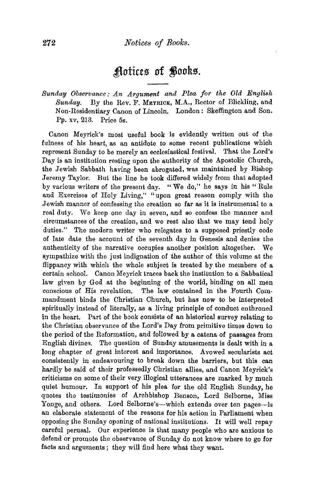## Aotices of Books.

*Sunday Observance: An Argument and Plea for the Old English Sunday.* By the Rev. F. MEYRICK, M.A., Rector of Blickling, and Non-Residentiary Canon of Lincoln. London: Skeffington and Son. Pp. xv, 213. Price 5s.

Canon Meyrick's most useful book is evidently written out of the fulness of his heart, as an antidote to some recent publications which represent Sunday to be merely an ecclesiastical festival. That the Lord's Day is an institution resting upon the authority of the Apostolic Church, the Jewish Sabbath having been abrogated, was maintained by Bishop Jeremy Taylor. But the line he took differed widely from that adopted by various writers of the present day. "We do," he says in his" Rule and Exercises of Holy Living," "upon great reason comply with the Jewish manner of confessing the creation so far as it is instrumental to a real duty. We keep one day in seven, and so confess the manner and circumstances of the creation, and we rest also that we may tend holy duties." The modern writer who relegates to a supposed priestly code of late date the account of the seventh day in Genesis and denies the authenticity of the narrative occupies another position altogether. We sympathize with the just indignation of the author of this volume at the flippancy with which the whole subject is treated by the members of a certain school. Canon Meyrick traces back the institution to a Sabbatical law given by God at the beginning of the world, binding on all men conscious of His revelation. The law contained in the Fourth Com· mandment binds the Christian Church, but has now to be interpreted spiritually instead of literally, as a living principle of conduct enthroned in the heart. Part of the book consists of an historical survey relating to the Christian observance of the Lord's Day from primitive times down to the period of the Reformation, and followed by a catena of passages from English divines. The question of Sunday amusements is dealt with in a long chapter of great interest and importance. Avowed secularists act consistently in endeavouring to break down the barriers, but this can hardly be said of their professedly Christian allies, and Canon Meyrick's criticisms on some of their very illogical utterances are marked by much quiet humour. In support of his plea for the old English Sunday, he quotes the testimonies of Archbishop Benson, Lord Selborne, Miss Yonge, and others. Lord Selborne's-which extends over ten pages-is an elaborate statement of the reasons for his action in Parliament when opposing the Sunday opening of national institutions. It will well repay careful perusal. Our experience is that many people who are anxious to defend or promote the observance of Sunday do not know where to go for facts and arguments ; they will find here what they want.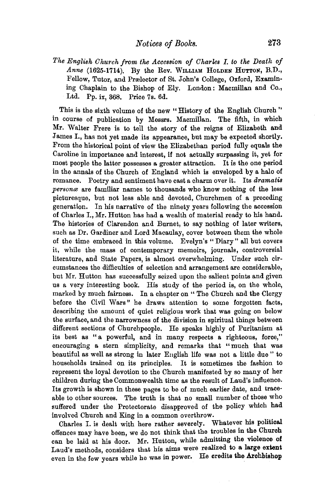*The English Church from the Accession of Charles I. to the Death of* Anne (1625-1714). By the Rev. WILLIAM HOLDEN HUTTON, B.D., Fellow, Tutor, and Prælector of St. John's College, Oxford, Examining Chaplain to the Bishop of Ely. London: Macmillan and Co., Ltd. Pp. ix, 368. Price 7s. 6d.

This is the sixth volume of the new "History of the English Church" in course of publication by Messrs. Macmillan. The fifth, in which Mr. Walter Frere is to tell the story of the reigns of Elizabeth and James I., has not yet made its appearance, but may be expected shortly. From the historical point of view the Elizabethan period fully equals the Caroline in importance and interest, if not actually surpassing it, yet for most people the latter possesses a greater attraction. It is the one period in the annals of the Church of England which is enveloped by a halo of romance. Poetry and sentiment have cast a charm over it. Its *dramatis personce* are familiar names to thousands who know nothing of the less picturesque, but not less able and devoted, Churchmen of a preceding generation. In his narrative of the ninety years following the accession of Charles I., Mr. Hutton has had a wealth of material ready to his hand. The histories of Clarendon and Burnet, to say nothing of later writers, such as Dr. Gardiner and Lord Macaulay, cover between them the whole of the time embraced in this volume. Evelyn's "Diary" all but covers it, while the mass of contemporary memoirs, journals, controversial literature, and State Papers, is almost overwhelming. Under such circumstances the difficulties of selection and arrangement are considerable, but Mr. Hutton has successfully seized upon the salient points and given us a very interesting book. His study of the period is, on the whole, marked by much fairness. In a chapter on " The Church and the Clergy before the Civil Wars" he draws attention to some forgotten facts, describing the amount of quiet religious work that was going on below the surface, and the narrowness of the division in spiritual things between different sections of Churchpeople. He speaks highly of Puritanism at its best as "a powerful, and in many respects a righteous, force," encouraging a stern simplicity, and remarks that "much that was beautiful as well as strong in later English life was not a little due" to households trained on its principles. It is sometimes the fashion to represent the loyal devotion to the Church manifested by so many of her children during the Commonwealth time as the result of Laud's influence. Its growth is shown in these pages to be of much earlier date, and traceable to other sources. The truth is that no small number of those who suffered under the Protectorate disapproved of the policy which had involved Church and King in a common overthrow.

Charles I. is dealt with here rather severely. Whatever his political offences may have been, we do not think that the troubles in the Church can be laid at his door. Mr. Hutton, while admitting the violence of Laud's methods, considers that his aims were realized to a large extent even in the few years while he was in power. He credits the Archbishop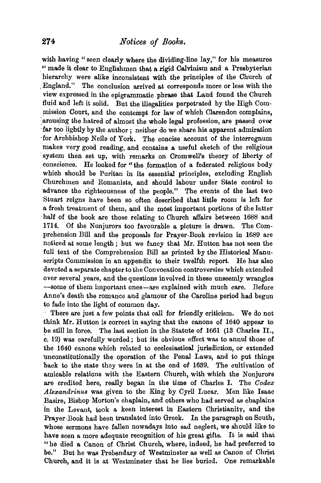with having "seen clearly where the dividing-line lay," for his measures '' made it clear to Englishmen that a rigid Calvinism and a Presbyterian hierarchy were alike inconsistent with the principles of the Church of .England." The conclusion arrived at corresponds more or less with the view expressed in the epigrammatic . phrase that Laud found the Church fluid and left it solid. But the illegalities perpetrated by the High Commission Court, and the contempt for law of which Clarendon complains, arousing the hatred of almost the whole legal profession, are passed over ·far too lightly by the author; neither do we share his apparent admiration for Archbishop Neile of York. The concise account of the interregnum makes very good reading, and contains a useful sketch of the religious system then set up, with remarks on Cromwell's theory of liberty of conscience. He looked for "the formation of a federated religious body which should be Puritan in its essential principles, excluding English Churchmen and Romanists, and should labour under State control to advance the righteousness of the people." The events of the last two Stuart reigns have been so often described that little room is left for a fresh treatment of them, and the most important portions of the latter half of the book are those relating to Church affairs between 1688 and 1714. Of the Nonjurors too favourable a picture is drawn. The Comprehension Bill and the proposals for Prayer-Book revision in 1689 are noticed at some length ; but we fancy that Mr. Hutton has not seen the full text of the Comprehension Bill as printed by the Historical Manuscripts Commission in an appendix to their twelfth report. He has also devoted a separate chapter to the Convocation controversies which extended over several years, and the questions involved in these unseemly wrangles -some of them important ones-are explained with much care. Before Anne's death the romance and glamour of the Caroline period had begun to fade into the light of common day.

There are just a few points that call for friendly criticism. We do not think Mr. Hutton is correct in saying that the canons of 1640 appear to be still in force. The last section in the Statute of 1661 (13 Charles II., c. 12) was carefully worded; but its obvious effect was to annul those of the 1640 canons which related to ecclesiastical jurisdiction, or extended ·unconstitutionally the operation of the Penal Laws, and to put things 'back to the state they were in at the end of 1639. The cultivation of amicable relations with the Eastern Church, with which the Nonjurors are credited here, really began in the time of Charles I. The *Codex Alexandrinus* was given to the King by Cyril Lucar. Men like Isaac Basire, Bishop Morton's chaplain, and others who had served as chaplains in the Levant, took a keen interest in Eastern Christianity, and the Prayer-Book had been translated into Greek. In the paragraph on South, whose sermons have fallen nowadays into sad neglect, we should like to have seen a more adequate recognition of his great gifts. It is said that "he died a Canon of Christ Church, where, indeed, he had preferred to be." But he was Prebendary of Westminster as well as Canon of Christ Church, and it is at Westminster that he lies buried. One remarkable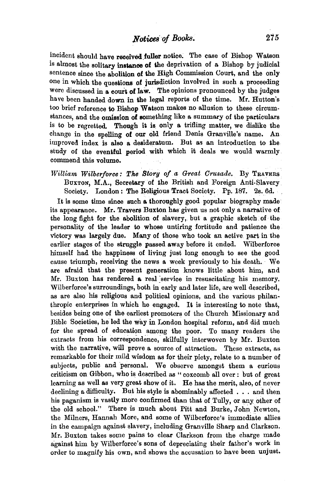incident should have received fuller notice. The case of Bishop Watson is almost the solitary instance of the deprivation of a Bishop by judicial sentence since the abolition of the High Commission Court, and the only one in which the questions of jurisdiction involved in such a proceeding were discussed in a court of law. The opinions pronounced by the judges have been handed down in the legal reports of the time. Mr. Hutton's too brief reference to Bishop Watson makes no allusion to these circumstances, and the omission of something like a summary of the particulars is to be regretted. Though it is only a trifling matter, we dislike the change in the spelling of our old friend Denis Granville's name. An improved index is also a. desideratum. But as an introduction to the study of the eventful period with which it deals we would warmly. commend this volume.

*William Wilberforce: The Story of.a Great Crusade.* By TRAYERS BuxTon, M.A., Secretary of the British and Foreign Anti-Slavery. Society. London: The Religious Tract Society. Pp. 187. 2s. 6d.

It is some time since such a thoroughly good popular biography made its appearance. Mr. Travers Buxton has given us not only a narrative of the long fight for the abolition of slavery, but a graphic sketch of the personality of the leader to whose untiring fortitude and patience the Victory was largely due. Many of those who took an active part in the earlier stages of the struggle passed away before it ended. Wilberforce himself had the happiness of living just long enough to see the good cause triumph, receiving the news a week previously to his death. We are afraid that the present generation knows little about him, and Mr. Buxton has rendered a real service in resuscitating his memory. Wilberforce's surroundings, both in early and later life, are well described, as are also his religious and political opinions, and the various philanthropic enterprises in which he engaged. It is interesting to note that, besides being one of the earliest promoters of the Church Missionary and Bible Societies, he led the way in London hospital reform, and did much for the spread of education among the poor. To many readers the extracts from his correspondence, skilfully interwoven by Mr. Buxton with the narrative, will prove a source of attraction. These extracts, as remarkable for their mild wisdom as for their piety, relate to a number of subjects, public and personal. We observe amongst them a curious criticism on Gibbon, who is described as " coxcomb all over : but of great learning as well as very great show of it. He has the merit, also, of never declining a difficulty. But his style is abominably affected . . . and then his paganism is vastly more confirmed than that of Tully, or any other of the old school." There is much about Pitt and Burke, John Newton, the Milners, Hannah More, and some of Wilberforce's immediate allies in the campaign against slavery, including Granville Sharp and Clarkson. Mr. Buxton takes some pains to clear Clarkson from the charge made against him by Wilberforce's sons of depreciating their father's work in order to magnify his own, and shows the accusation to have been unjust.